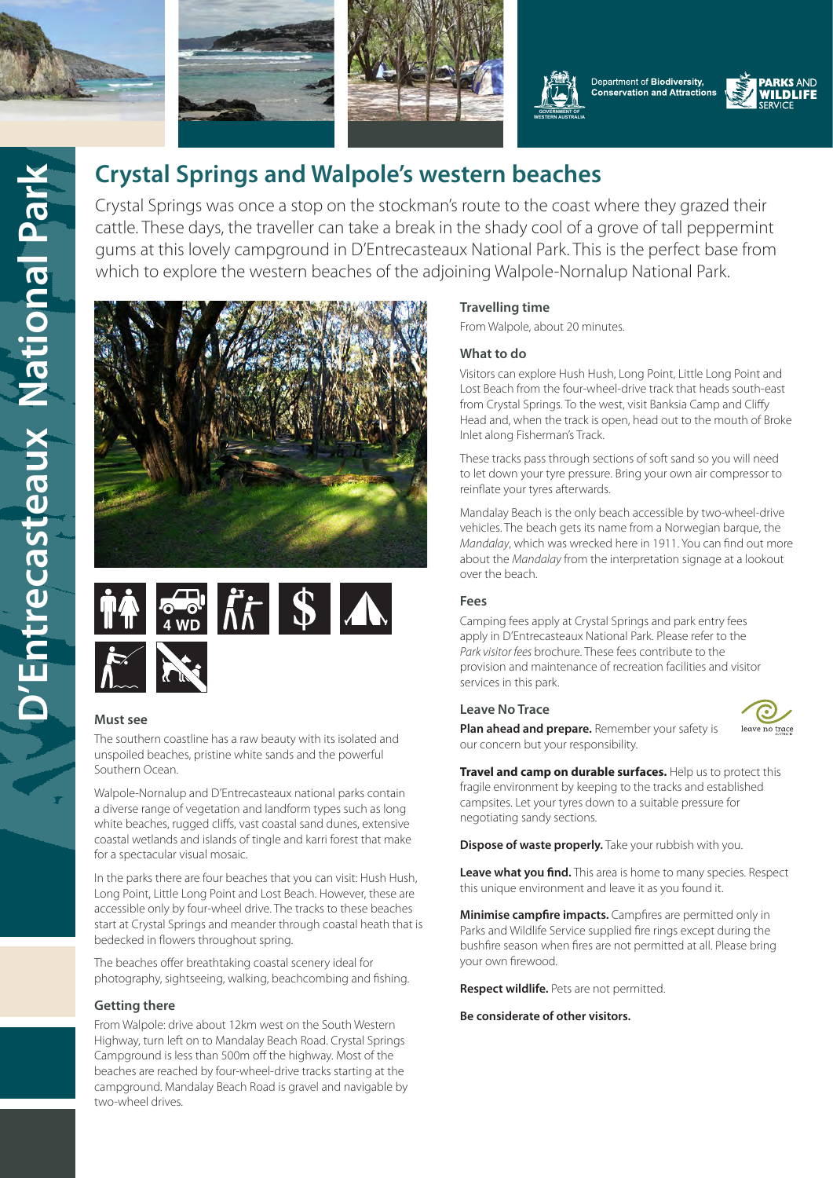







**[WESTERN AUSTRALIA](https://www.dpaw.wa.gov.au/)**



# **Crystal Springs and Walpole's western beaches**

Crystal Springs was once a stop on the stockman's route to the coast where they grazed their cattle. These days, the traveller can take a break in the shady cool of a grove of tall peppermint gums at this lovely campground in D'Entrecasteaux National Park. This is the perfect base from which to explore the western beaches of the adjoining Walpole-Nornalup National Park.





# **Must see**

The southern coastline has a raw beauty with its isolated and unspoiled beaches, pristine white sands and the powerful Southern Ocean.

Walpole-Nornalup and D'Entrecasteaux national parks contain a diverse range of vegetation and landform types such as long white beaches, rugged cliffs, vast coastal sand dunes, extensive coastal wetlands and islands of tingle and karri forest that make for a spectacular visual mosaic.

In the parks there are four beaches that you can visit: Hush Hush, Long Point, Little Long Point and Lost Beach. However, these are accessible only by four-wheel drive. The tracks to these beaches start at Crystal Springs and meander through coastal heath that is bedecked in flowers throughout spring.

The beaches offer breathtaking coastal scenery ideal for photography, sightseeing, walking, beachcombing and fishing.

# **Getting there**

From Walpole: drive about 12km west on the South Western Highway, turn left on to Mandalay Beach Road. Crystal Springs Campground is less than 500m off the highway. Most of the beaches are reached by four-wheel-drive tracks starting at the campground. Mandalay Beach Road is gravel and navigable by two-wheel drives.

# **Travelling time**

From Walpole, about 20 minutes.

### **What to do**

Visitors can explore Hush Hush, Long Point, Little Long Point and Lost Beach from the four-wheel-drive track that heads south-east from Crystal Springs. To the west, visit Banksia Camp and Cliffy Head and, when the track is open, head out to the mouth of Broke Inlet along Fisherman's Track.

These tracks pass through sections of soft sand so you will need to let down your tyre pressure. Bring your own air compressor to reinflate your tyres afterwards.

Mandalay Beach is the only beach accessible by two-wheel-drive vehicles. The beach gets its name from a Norwegian barque, the *Mandalay*, which was wrecked here in 1911. You can find out more about the *Mandalay* from the interpretation signage at a lookout over the beach.

# **Fees**

Camping fees apply at Crystal Springs and park entry fees apply in D'Entrecasteaux National Park. Please refer to the *Park visitor fees* brochure. These fees contribute to the provision and maintenance of recreation facilities and visitor services in this park.

#### **Leave No Trace**



**Plan ahead and prepare.** Remember your safety is our concern but your responsibility.

**Travel and camp on durable surfaces.** Help us to protect this fragile environment by keeping to the tracks and established campsites. Let your tyres down to a suitable pressure for negotiating sandy sections.

**Dispose of waste properly.** Take your rubbish with you.

**Leave what you find.** This area is home to many species. Respect this unique environment and leave it as you found it.

**Minimise campfire impacts.** Campfires are permitted only in Parks and Wildlife Service supplied fire rings except during the bushfire season when fires are not permitted at all. Please bring your own firewood.

**Respect wildlife.** Pets are not permitted.

**Be considerate of other visitors.**